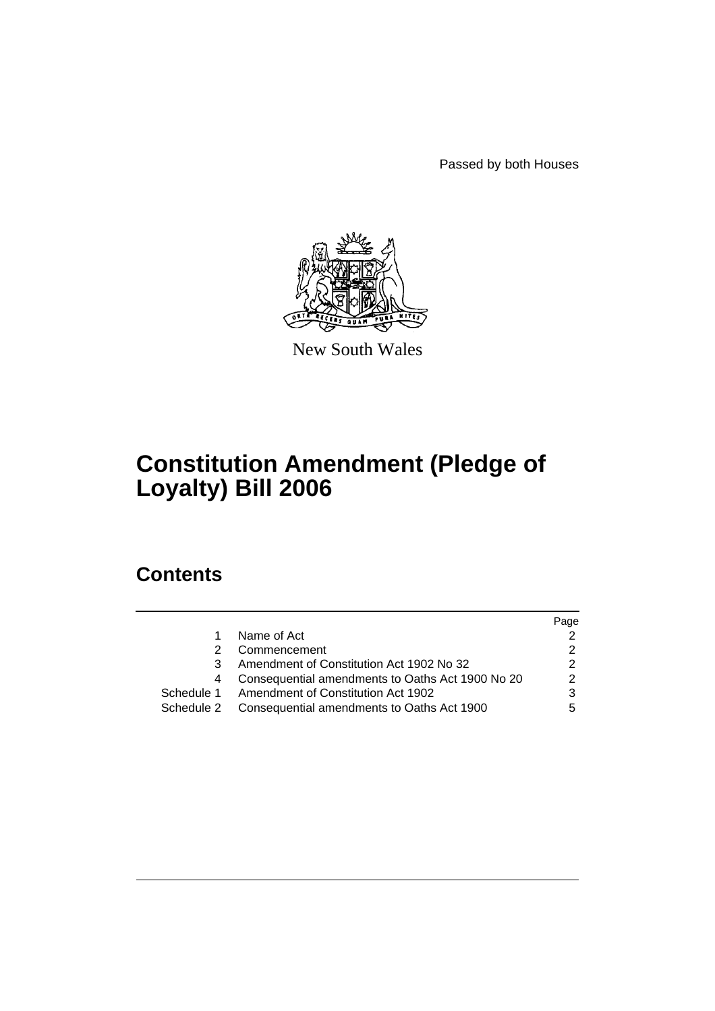Passed by both Houses



New South Wales

# **Constitution Amendment (Pledge of Loyalty) Bill 2006**

## **Contents**

|                                                       | Page |
|-------------------------------------------------------|------|
| Name of Act                                           |      |
| Commencement                                          |      |
| Amendment of Constitution Act 1902 No 32              |      |
| Consequential amendments to Oaths Act 1900 No 20      | 2    |
| Schedule 1 Amendment of Constitution Act 1902         | 3    |
| Schedule 2 Consequential amendments to Oaths Act 1900 | 5    |
|                                                       |      |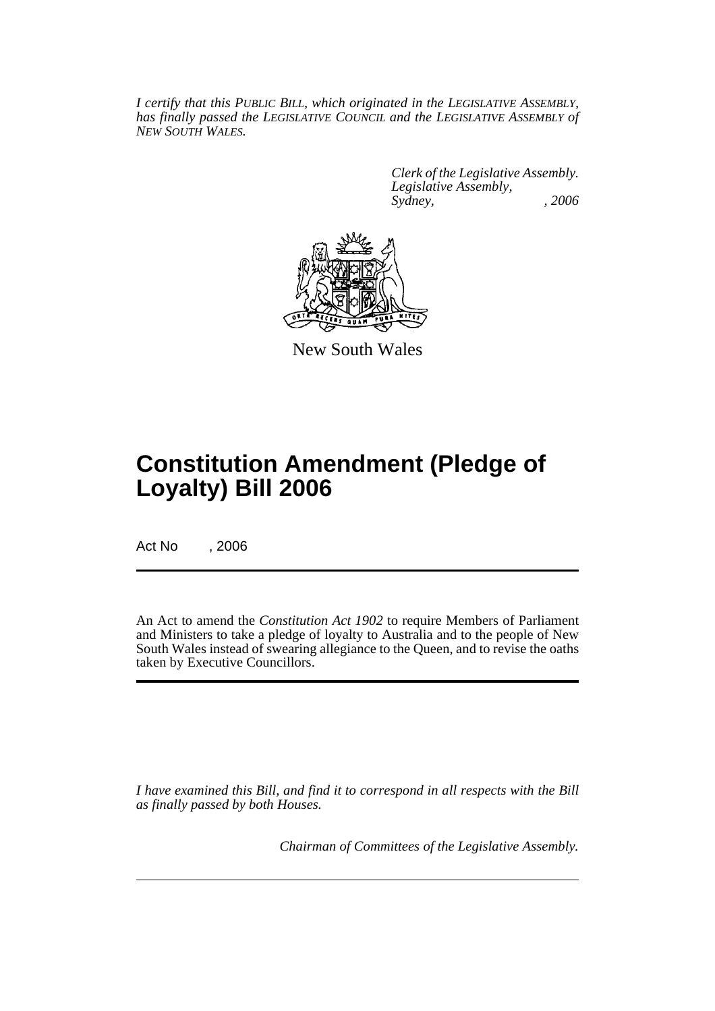*I certify that this PUBLIC BILL, which originated in the LEGISLATIVE ASSEMBLY, has finally passed the LEGISLATIVE COUNCIL and the LEGISLATIVE ASSEMBLY of NEW SOUTH WALES.*

> *Clerk of the Legislative Assembly. Legislative Assembly, Sydney, , 2006*



New South Wales

# **Constitution Amendment (Pledge of Loyalty) Bill 2006**

Act No , 2006

An Act to amend the *Constitution Act 1902* to require Members of Parliament and Ministers to take a pledge of loyalty to Australia and to the people of New South Wales instead of swearing allegiance to the Queen, and to revise the oaths taken by Executive Councillors.

*I have examined this Bill, and find it to correspond in all respects with the Bill as finally passed by both Houses.*

*Chairman of Committees of the Legislative Assembly.*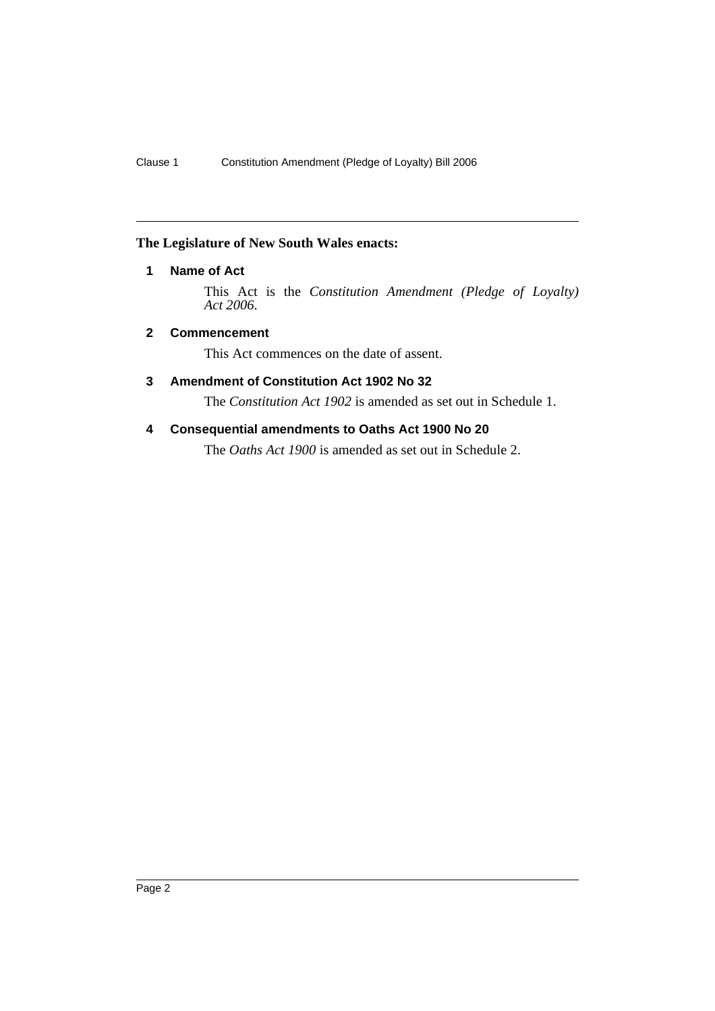#### **The Legislature of New South Wales enacts:**

#### **1 Name of Act**

This Act is the *Constitution Amendment (Pledge of Loyalty) Act 2006*.

#### **2 Commencement**

This Act commences on the date of assent.

#### **3 Amendment of Constitution Act 1902 No 32**

The *Constitution Act 1902* is amended as set out in Schedule 1.

#### **4 Consequential amendments to Oaths Act 1900 No 20**

The *Oaths Act 1900* is amended as set out in Schedule 2.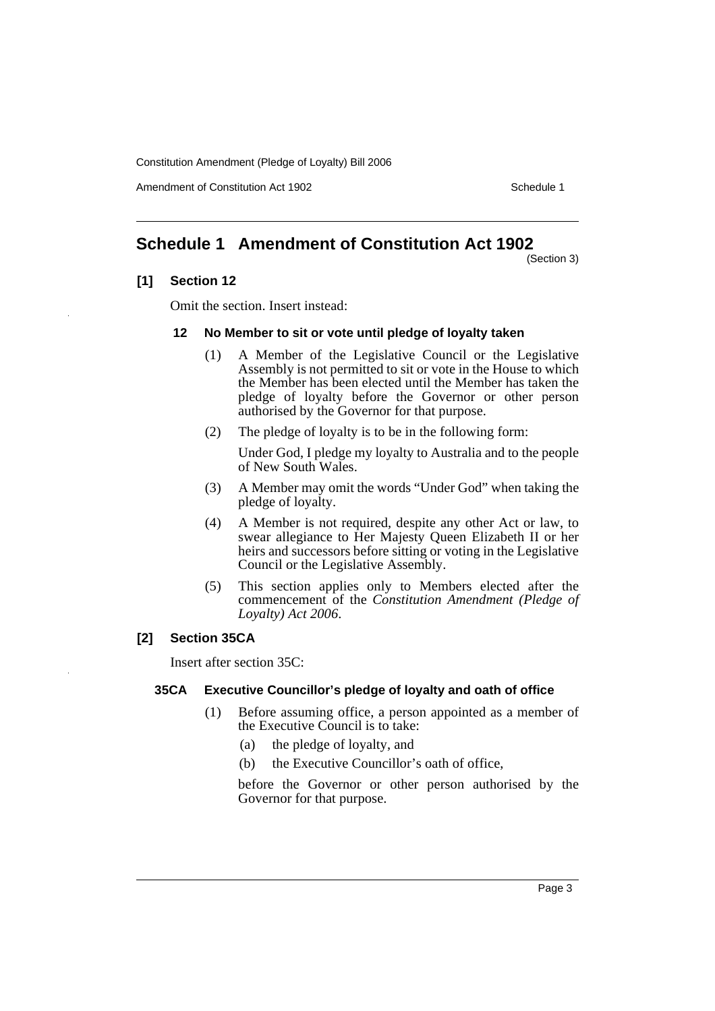Constitution Amendment (Pledge of Loyalty) Bill 2006

Amendment of Constitution Act 1902 Schedule 1

### **Schedule 1 Amendment of Constitution Act 1902**

(Section 3)

#### **[1] Section 12**

Omit the section. Insert instead:

#### **12 No Member to sit or vote until pledge of loyalty taken**

- (1) A Member of the Legislative Council or the Legislative Assembly is not permitted to sit or vote in the House to which the Member has been elected until the Member has taken the pledge of loyalty before the Governor or other person authorised by the Governor for that purpose.
- (2) The pledge of loyalty is to be in the following form:

Under God, I pledge my loyalty to Australia and to the people of New South Wales.

- (3) A Member may omit the words "Under God" when taking the pledge of loyalty.
- (4) A Member is not required, despite any other Act or law, to swear allegiance to Her Majesty Queen Elizabeth II or her heirs and successors before sitting or voting in the Legislative Council or the Legislative Assembly.
- (5) This section applies only to Members elected after the commencement of the *Constitution Amendment (Pledge of Loyalty) Act 2006*.

#### **[2] Section 35CA**

Insert after section 35C:

#### **35CA Executive Councillor's pledge of loyalty and oath of office**

- (1) Before assuming office, a person appointed as a member of the Executive Council is to take:
	- (a) the pledge of loyalty, and
	- (b) the Executive Councillor's oath of office,

before the Governor or other person authorised by the Governor for that purpose.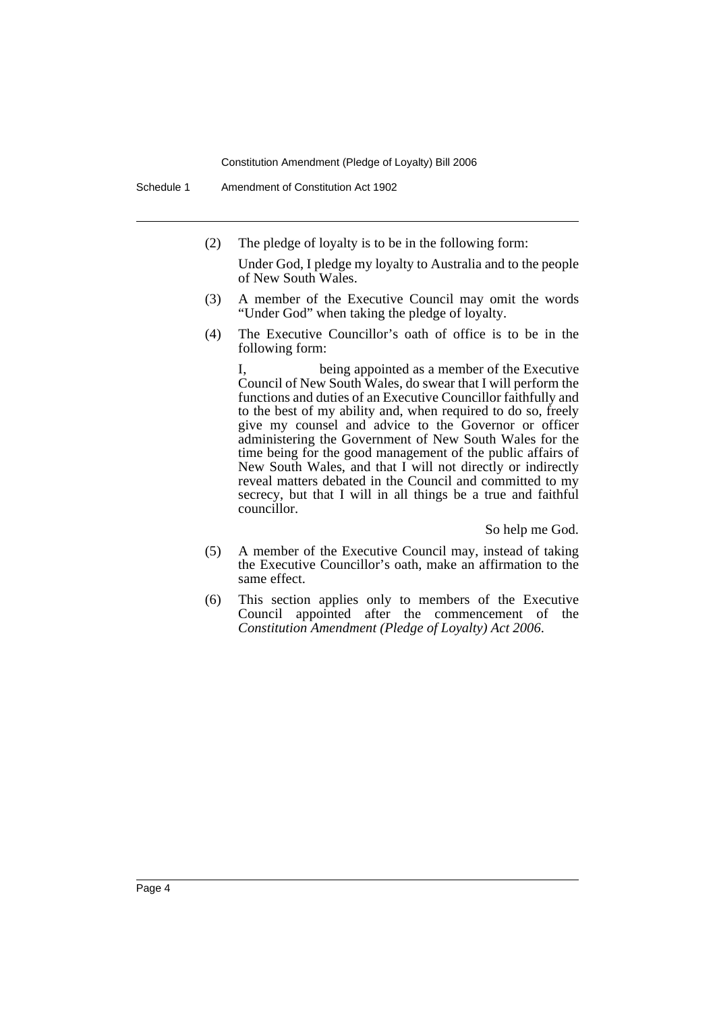Constitution Amendment (Pledge of Loyalty) Bill 2006

(2) The pledge of loyalty is to be in the following form:

Under God, I pledge my loyalty to Australia and to the people of New South Wales.

- (3) A member of the Executive Council may omit the words "Under God" when taking the pledge of loyalty.
- (4) The Executive Councillor's oath of office is to be in the following form:

I, being appointed as a member of the Executive Council of New South Wales, do swear that I will perform the functions and duties of an Executive Councillor faithfully and to the best of my ability and, when required to do so, freely give my counsel and advice to the Governor or officer administering the Government of New South Wales for the time being for the good management of the public affairs of New South Wales, and that I will not directly or indirectly reveal matters debated in the Council and committed to my secrecy, but that I will in all things be a true and faithful councillor.

So help me God.

- (5) A member of the Executive Council may, instead of taking the Executive Councillor's oath, make an affirmation to the same effect.
- (6) This section applies only to members of the Executive Council appointed after the commencement of the *Constitution Amendment (Pledge of Loyalty) Act 2006*.